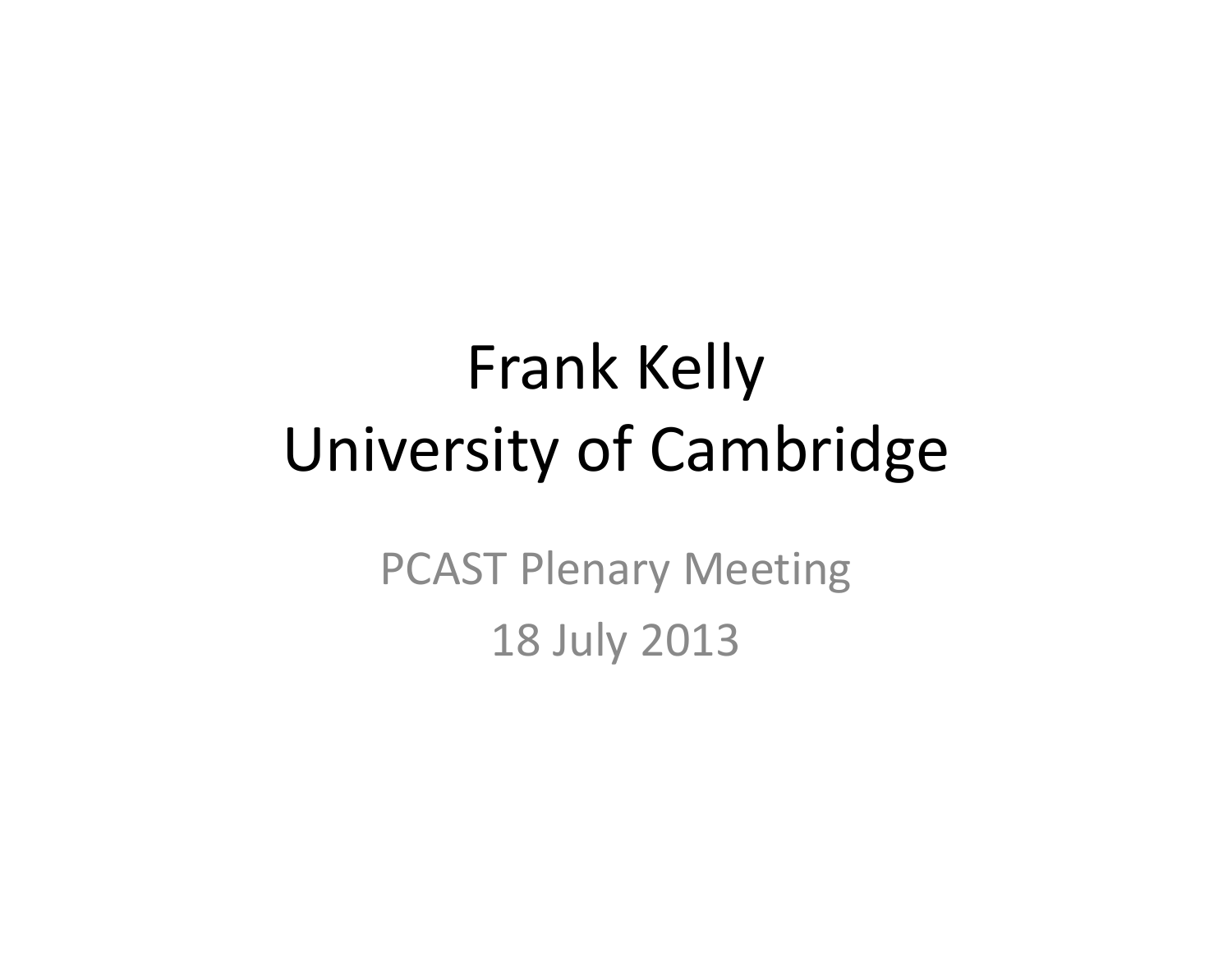# Frank Kelly University of Cambridge

PCAST Plenary Meeting 18 July 2013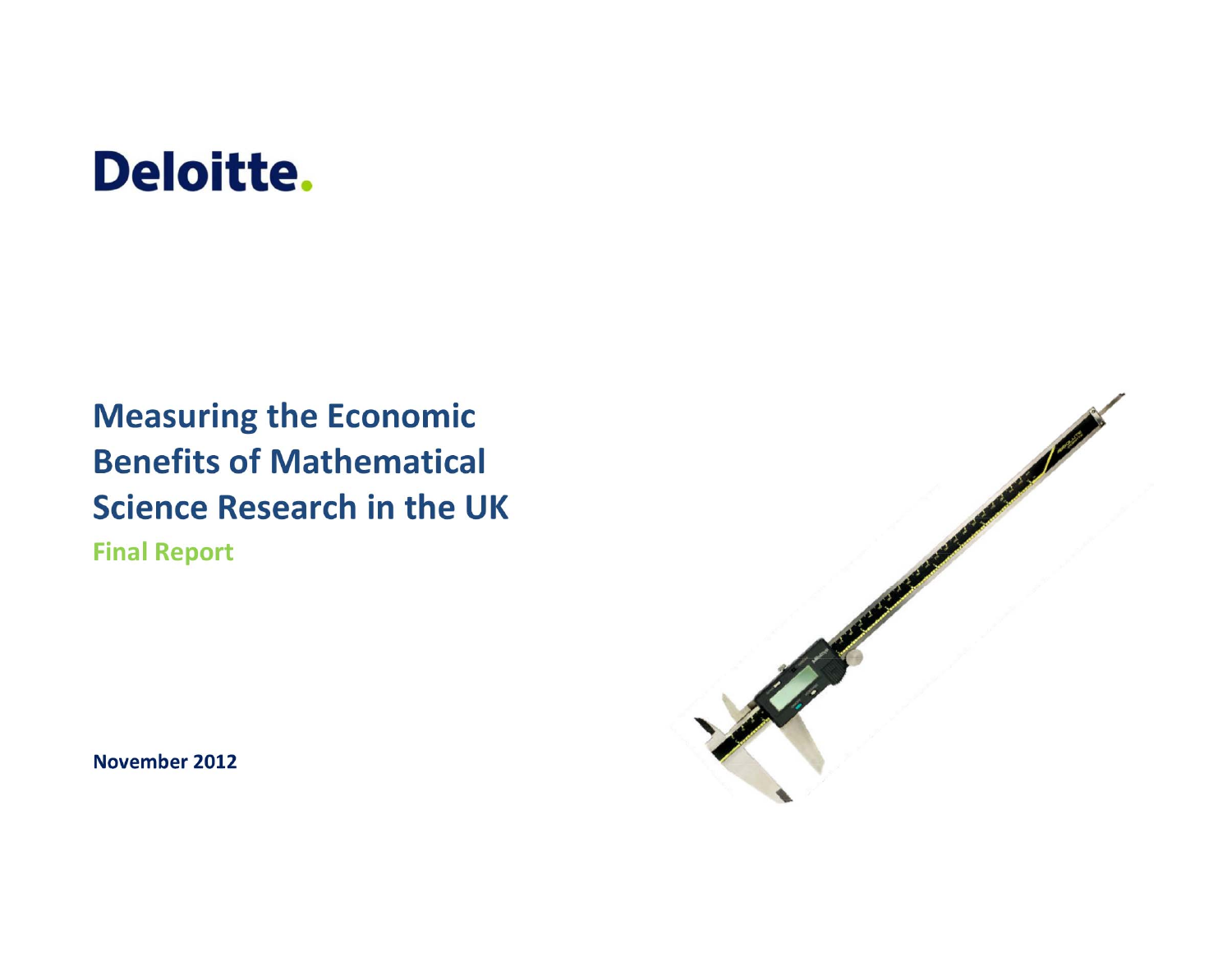### **Deloitte.**

### **Measuring the Economic Benefits of Mathematical Science Research in the UK**

**Final Report** 



November 2012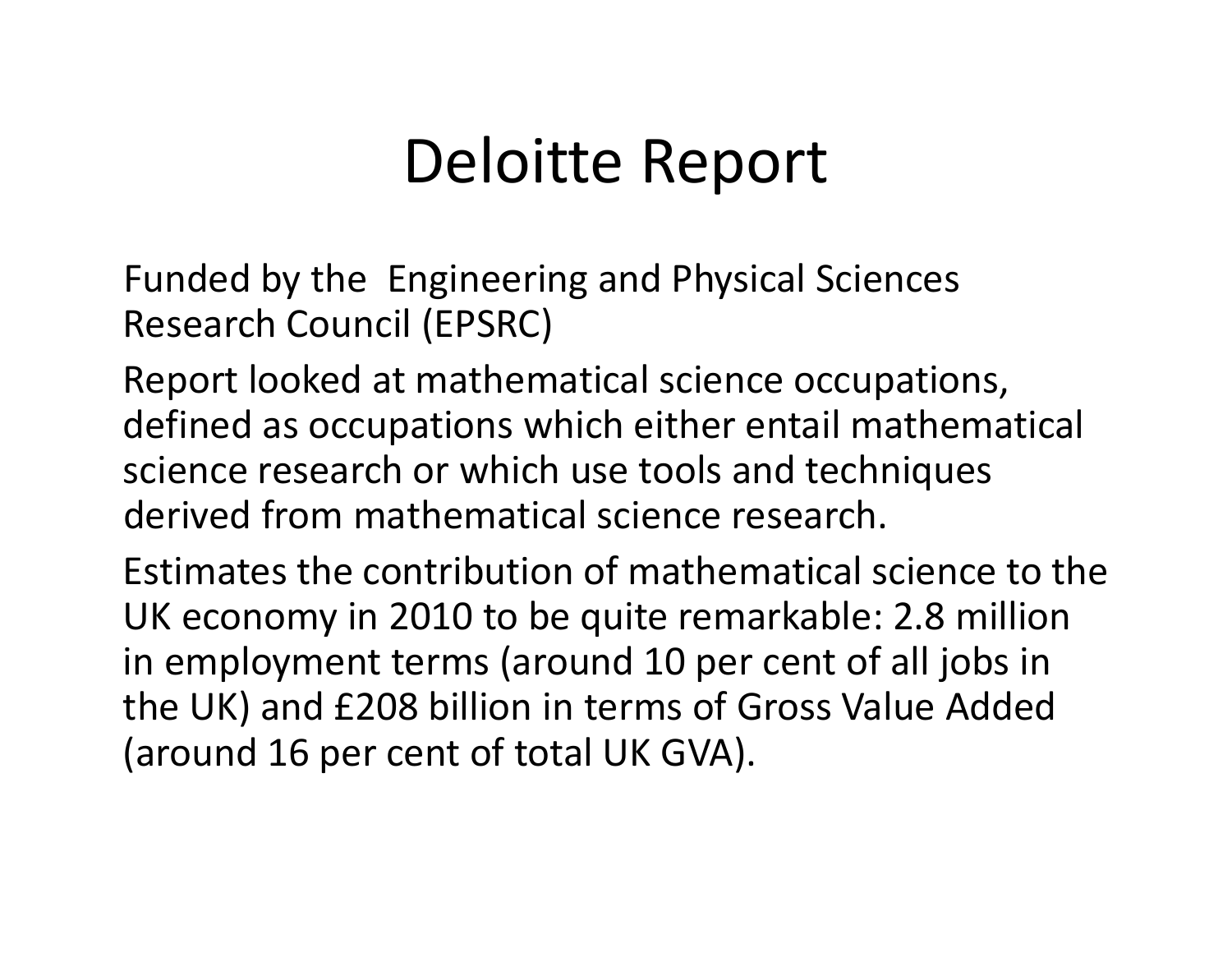## Deloitte Report

Funded by the Engineering and Physical Sciences Research Council (EPSRC)

Report looked at mathematical science occupations, defined as occupations which either entail mathematical science research or which use tools and techniques derived from mathematical science research.

Estimates the contribution of mathematical science to the UK economy in 2010 to be quite remarkable: 2.8 million in employment terms (around 10 per cent of all jobs in the UK) and £208 billion in terms of Gross Value Added (around 16 per cent of total UK GVA).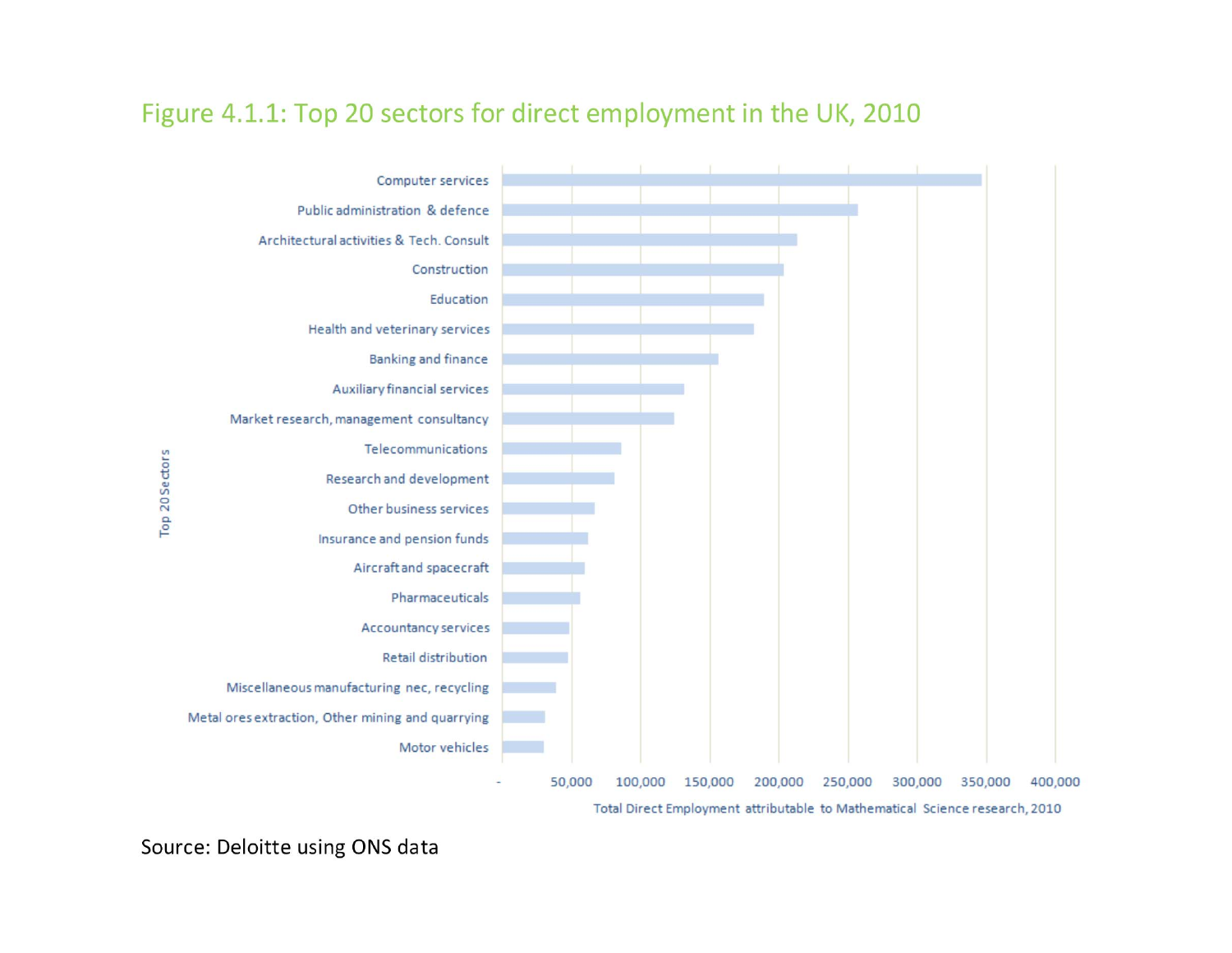#### Figure 4.1.1: Top 20 sectors for direct employment in the UK, 2010



Source: Deloitte using ONS data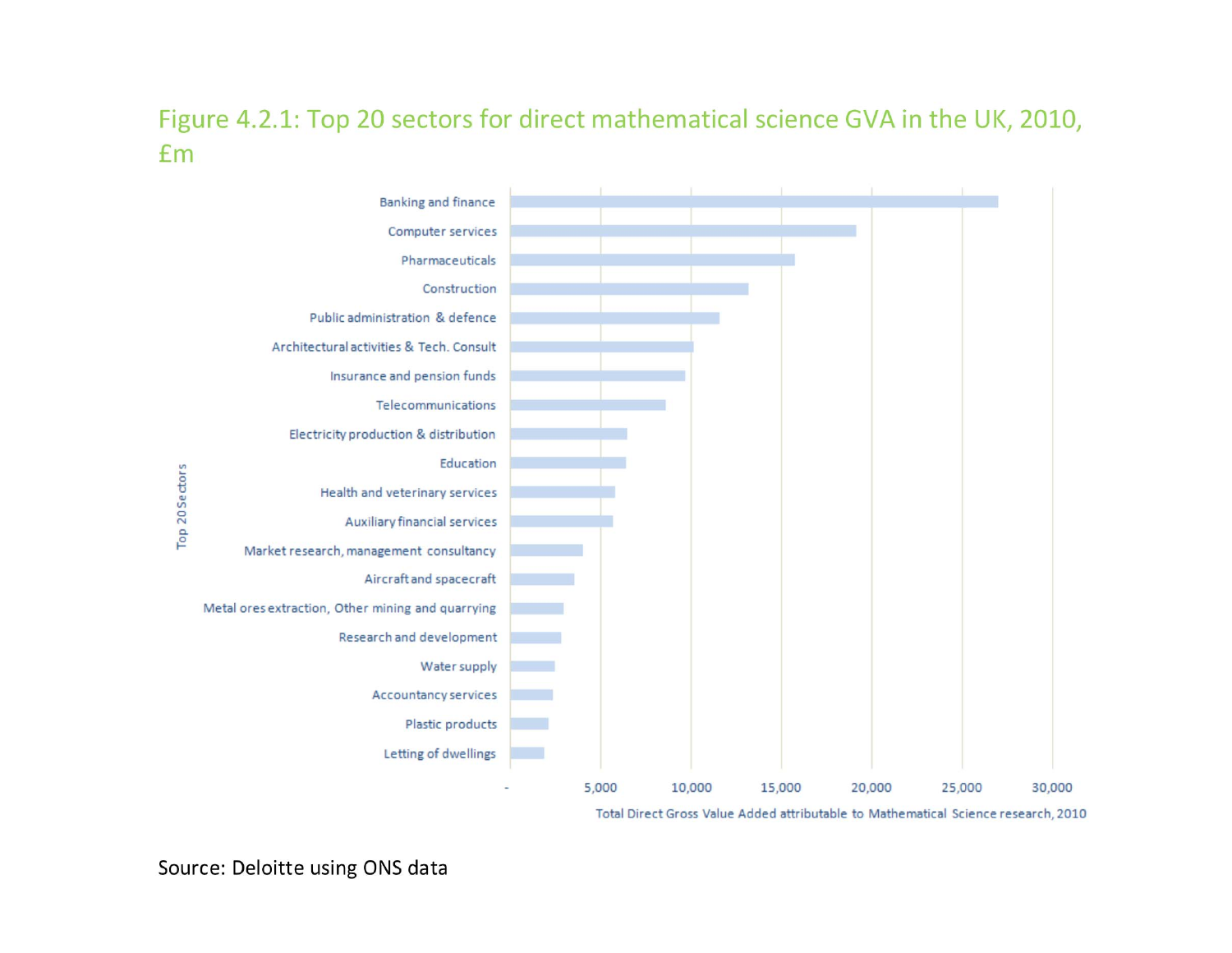#### Figure 4.2.1: Top 20 sectors for direct mathematical science GVA in the UK, 2010,  $f<sub>m</sub>$



Total Direct Gross Value Added attributable to Mathematical Science research, 2010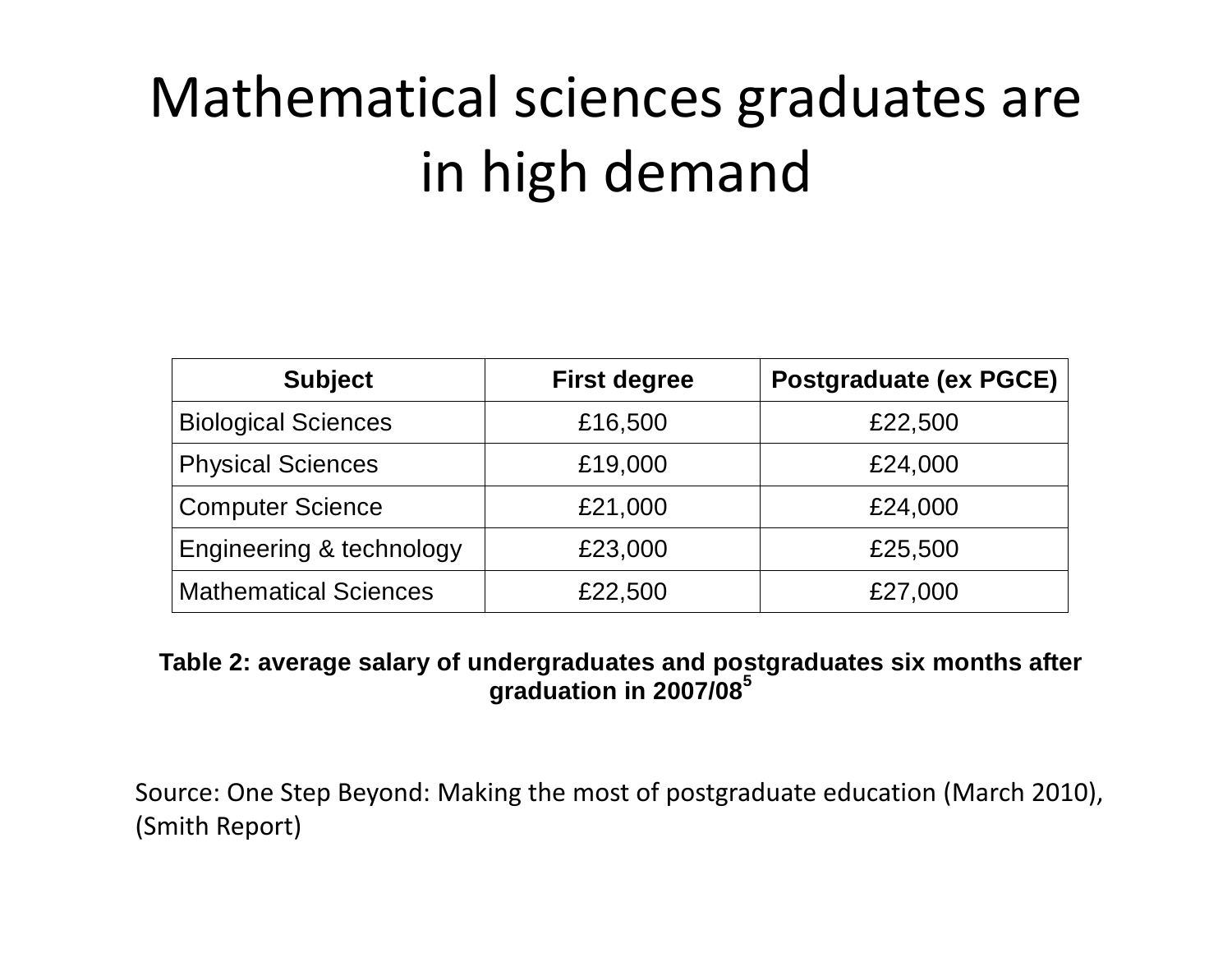## Mathematical sciences graduates are in high demand

| <b>Subject</b>               | <b>First degree</b> | Postgraduate (ex PGCE) |
|------------------------------|---------------------|------------------------|
| <b>Biological Sciences</b>   | £16,500             | £22,500                |
| <b>Physical Sciences</b>     | £19,000             | £24,000                |
| <b>Computer Science</b>      | £21,000             | £24,000                |
| Engineering & technology     | £23,000             | £25,500                |
| <b>Mathematical Sciences</b> | £22,500             | £27,000                |

#### **Table 2: average salary of undergraduates and postgraduates six months after graduation in 2007/08 5**

Source: One Step Beyond: Making the most of postgraduate education (March 2010), (Smith Report)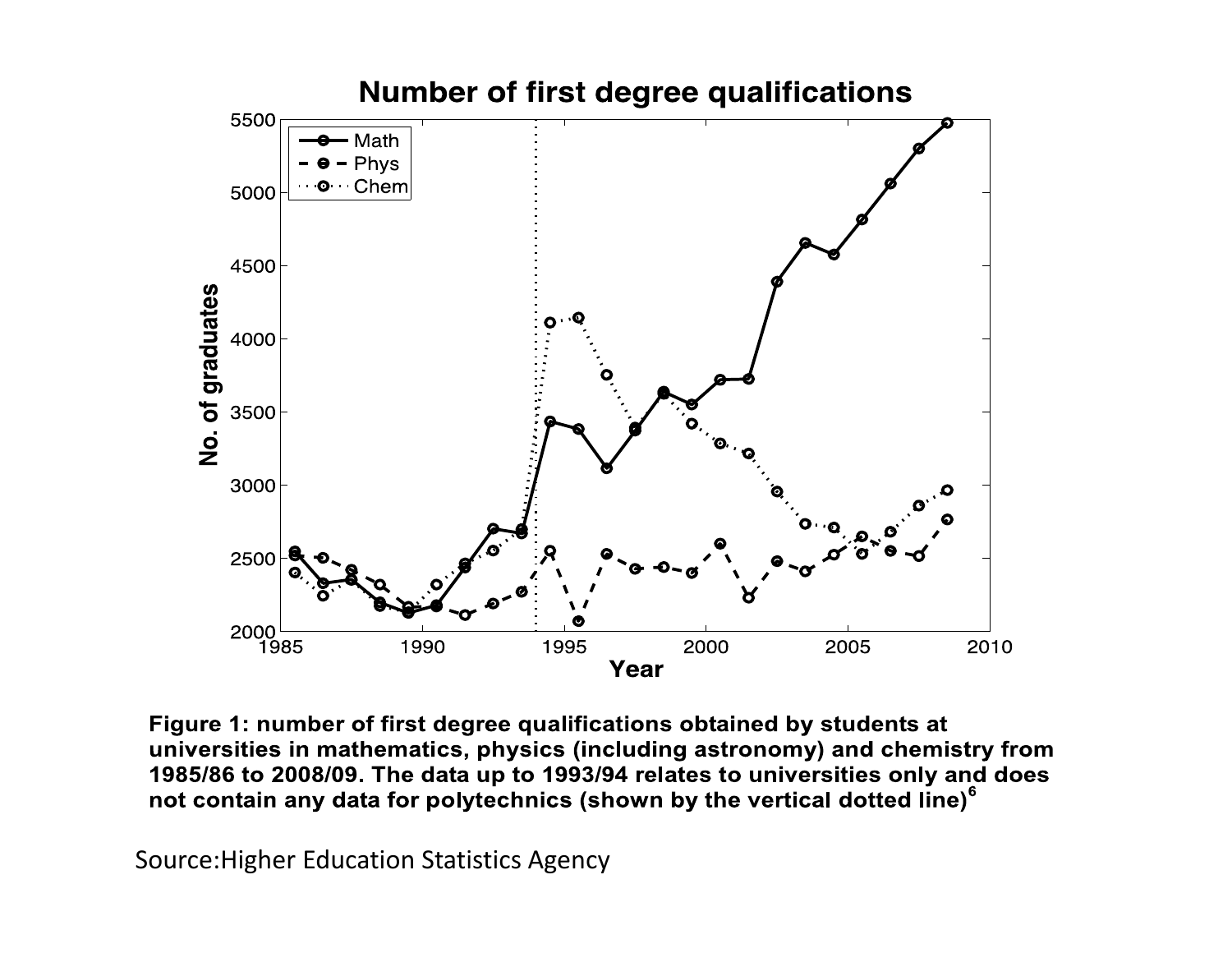

Figure 1: number of first degree qualifications obtained by students at universities in mathematics, physics (including astronomy) and chemistry from 1985/86 to 2008/09. The data up to 1993/94 relates to universities only and does not contain any data for polytechnics (shown by the vertical dotted line)<sup>6</sup>

Source:Higher Education Statistics Agency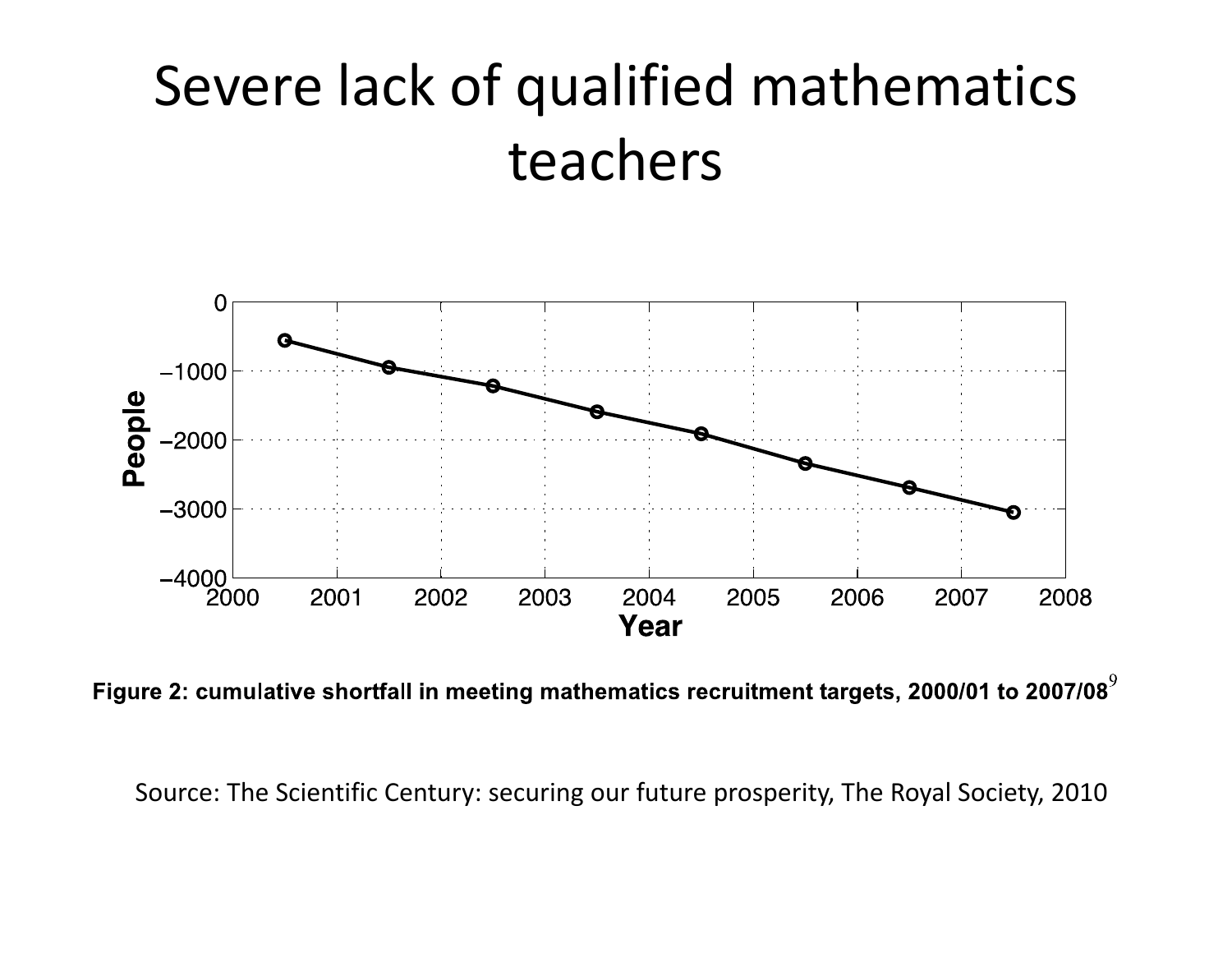### Severe lack of qualified mathematics teachers



Figure 2: cumulative shortfall in meeting mathematics recruitment targets, 2000/01 to 2007/08 $^{\circ}$ 

Source: The Scientific Century: securing our future prosperity, The Royal Society, 2010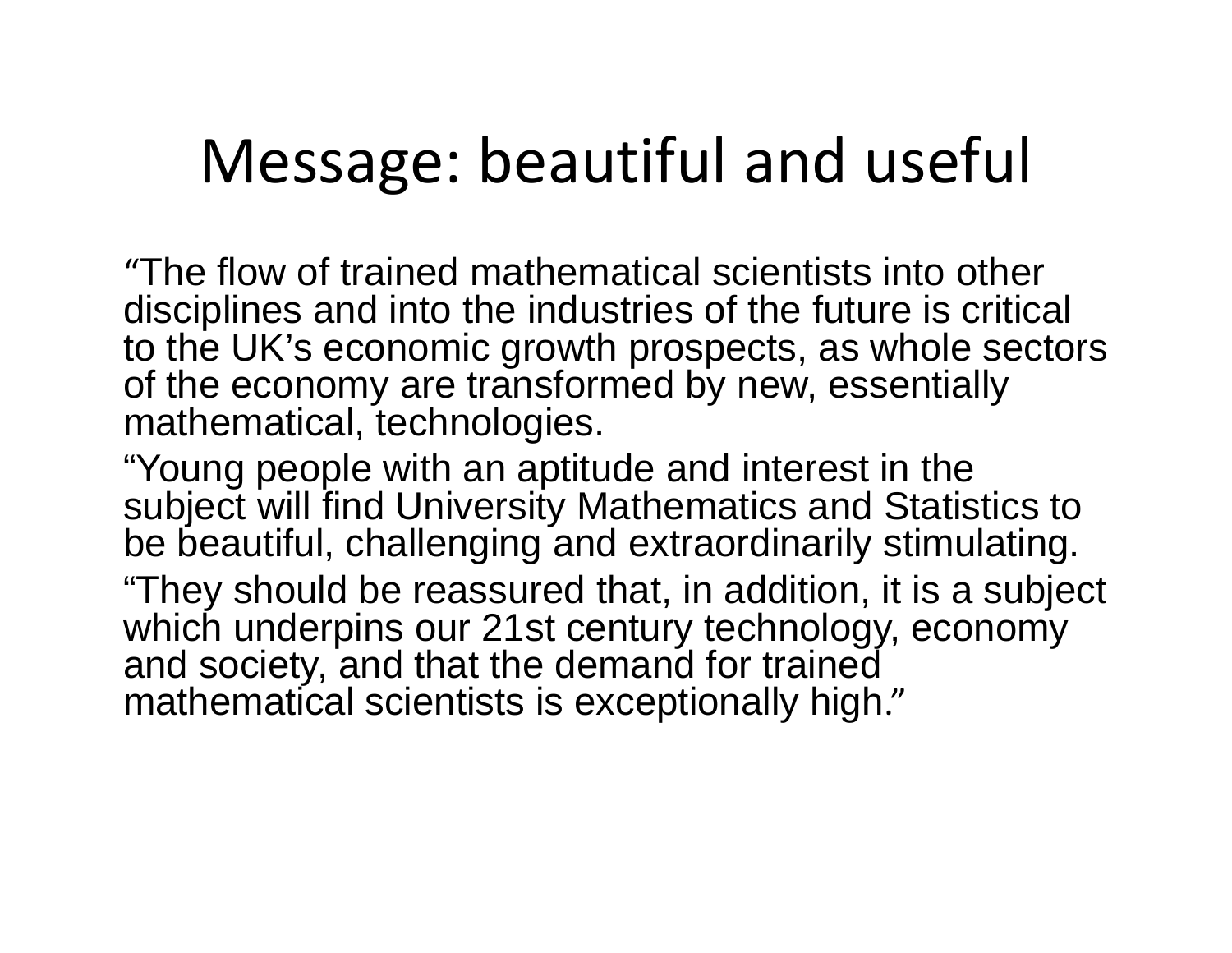## Message: beautiful and useful

"The flow of trained mathematical scientists into other disciplines and into the industries of the future is critical to the UK's economic growth prospects, as whole sectors of the economy are transformed by new, essentially mathematical, technologies.

"Young people with an aptitude and interest in the subject will find University Mathematics and Statistics to be beautiful, challenging and extraordinarily stimulating. "They should be reassured that, in addition, it is a subject which underpins our 21st century technology, economy and society, and that the demand for trained mathematical scientists is exceptionally high."